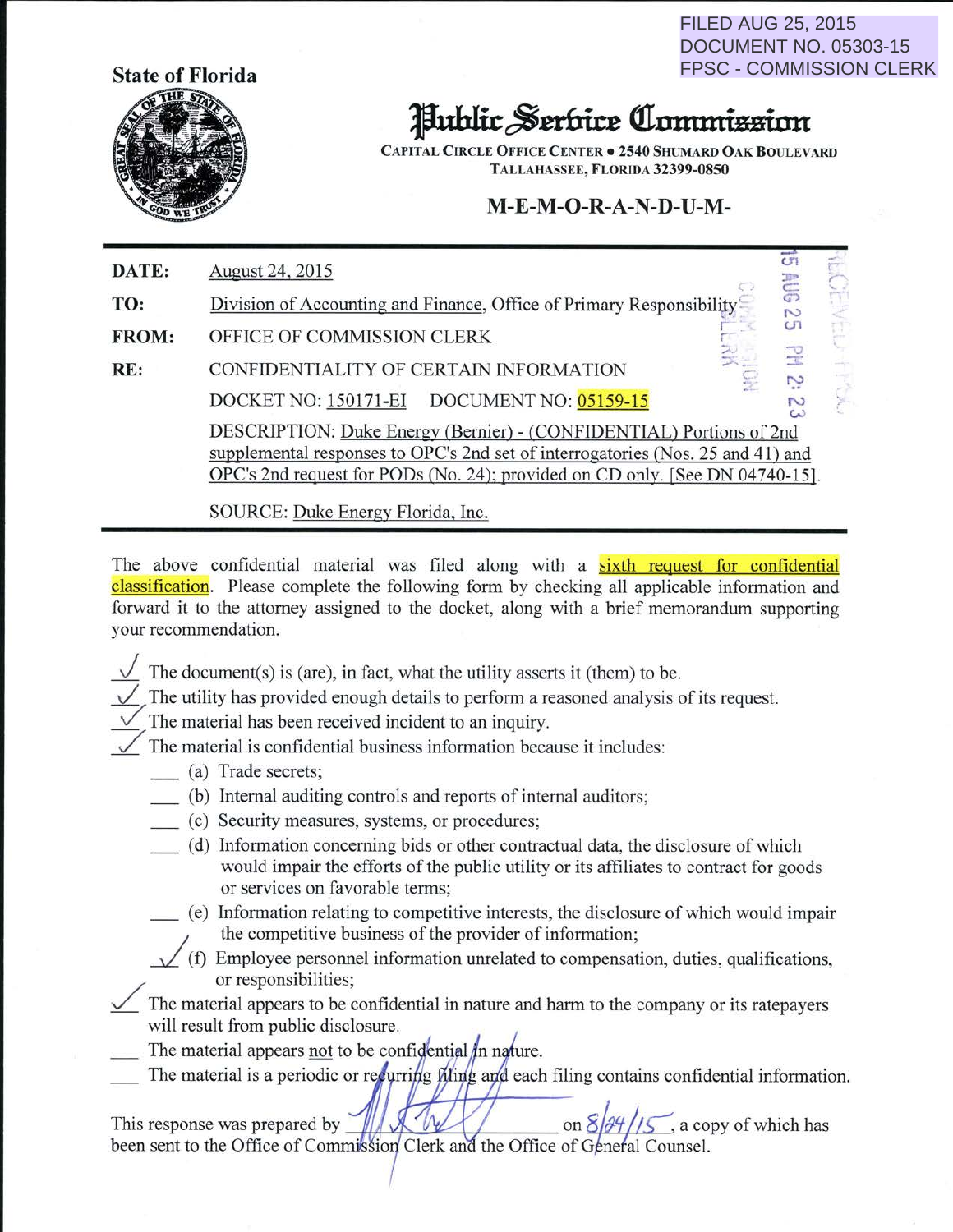**State of Florida** 



FILED AUG 25, 2015 DOCUMENT NO. 05303-15 FPSC - COMMISSION CLERK

## Jlubltt~mritt **ctrlllttltthminn**

CAPITAL CIRCLE OFFICE CENTER . 2540 SHUMARD OAK BOULEVARD TALLAHASSEE, FLORIDA 32399-0850

## **M-E-M-0-R-A-N-D-U-M-**

| DATE: | August 24, 2015                                                                                                                                                                                                                        | c<br>콛    |    |
|-------|----------------------------------------------------------------------------------------------------------------------------------------------------------------------------------------------------------------------------------------|-----------|----|
| TO:   | Division of Accounting and Finance, Office of Primary Responsibility                                                                                                                                                                   | $\sim$    | Шe |
| FROM: | OFFICE OF COMMISSION CLERK                                                                                                                                                                                                             | <b>GT</b> |    |
| RE:   | CONFIDENTIALITY OF CERTAIN INFORMATION                                                                                                                                                                                                 | 足         |    |
|       | DOCKET NO: 150171-EI<br>DOCUMENT NO: 05159-15                                                                                                                                                                                          |           |    |
|       | DESCRIPTION: Duke Energy (Bernier) - (CONFIDENTIAL) Portions of 2nd<br>supplemental responses to OPC's 2nd set of interrogatories (Nos. 25 and 41) and<br>OPC's 2nd request for PODs (No. 24); provided on CD only. [See DN 04740-15]. |           |    |
|       |                                                                                                                                                                                                                                        |           |    |

SOURCE: Duke Energy Florida, Inc.

The above confidential material was filed along with a sixth request for confidential classification. Please complete the following form by checking all applicable information and forward it to the attorney assigned to the docket, along with a brief memorandum supporting your recommendation.

- The document(s) is (are), in fact, what the utility asserts it (them) to be.
- $\sqrt{\ }$  The utility has provided enough details to perform a reasoned analysis of its request.

7 The material has been received incident to an inquiry.

 $\checkmark$  The material is confidential business information because it includes:

- \_ (a) Trade secrets;
- \_ (b) Internal auditing controls and reports of internal auditors;
- \_ (c) Security measures, systems, or procedures;
- \_ (d) Information concerning bids or other contractual data, the disclosure of which would impair the efforts of the public utility or its affiliates to contract for goods or services on favorable terms;
- \_ (e) Information relating to competitive interests, the disclosure of which would impair the competitive business of the provider of information;
- $\sqrt{}$  (f) Employee personnel information unrelated to compensation, duties, qualifications, or responsibilities;
- The material appears to be confidential in nature and harm to the company or its ratepayers will result from public disclosure.
- $\frac{1}{\sqrt{1-\frac{1}{n}}}$  The material appears <u>not</u> to be confidential in nature.
- $\equiv$  The material is a periodic or recurring filing and each filing contains confidential information.

This response was prepared by a copy of which has been sent to the Office of Commission Clerk and the Office of General Counsel.